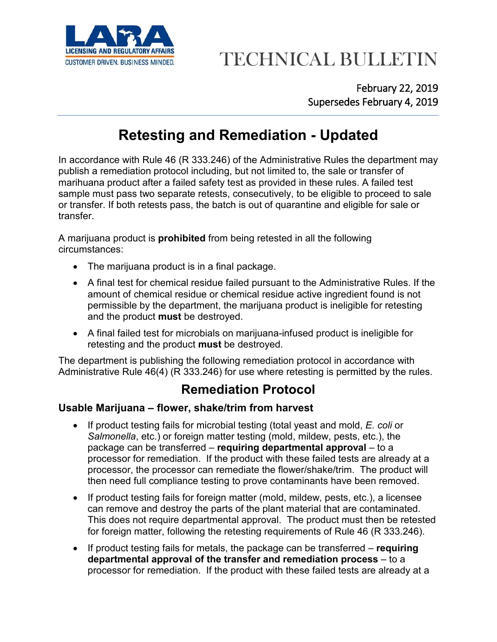

# CUSTOMER DRIVEN. BUSINESS MINDED. TECHNICAL BULLETIN

February 22, 2019 Supersedes February 4, 2019

### **Retesting and Remediation - Updated**

In accordance with Rule 46 (R 333.246) of the Administrative Rules the department may publish a remediation protocol including, but not limited to, the sale or transfer of marihuana product after a failed safety test as provided in these rules. A failed test sample must pass two separate retests, consecutively, to be eligible to proceed to sale or transfer. If both retests pass, the batch is out of quarantine and eligible for sale or transfer.

A marijuana product is **prohibited** from being retested in all the following circumstances:

- The marijuana product is in a final package.
- A final test for chemical residue failed pursuant to the Administrative Rules. If the amount of chemical residue or chemical residue active ingredient found is not permissible by the department, the marijuana product is ineligible for retesting and the product **must** be destroyed.
- A final failed test for microbials on marijuana-infused product is ineligible for retesting and the product **must** be destroyed.

The department is publishing the following remediation protocol in accordance with Administrative Rule 46(4) (R 333.246) for use where retesting is permitted by the rules.

### **Remediation Protocol**

#### **Usable Marijuana – flower, shake/trim from harvest**

- If product testing fails for microbial testing (total yeast and mold, *E. coli* or *Salmonella*, etc.) or foreign matter testing (mold, mildew, pests, etc.), the package can be transferred – **requiring departmental approval** – to a processor for remediation. If the product with these failed tests are already at a processor, the processor can remediate the flower/shake/trim. The product will then need full compliance testing to prove contaminants have been removed.
- If product testing fails for foreign matter (mold, mildew, pests, etc.), a licensee can remove and destroy the parts of the plant material that are contaminated. This does not require departmental approval. The product must then be retested for foreign matter, following the retesting requirements of Rule 46 (R 333.246).
- If product testing fails for metals, the package can be transferred **requiring departmental approval of the transfer and remediation process** – to a processor for remediation. If the product with these failed tests are already at a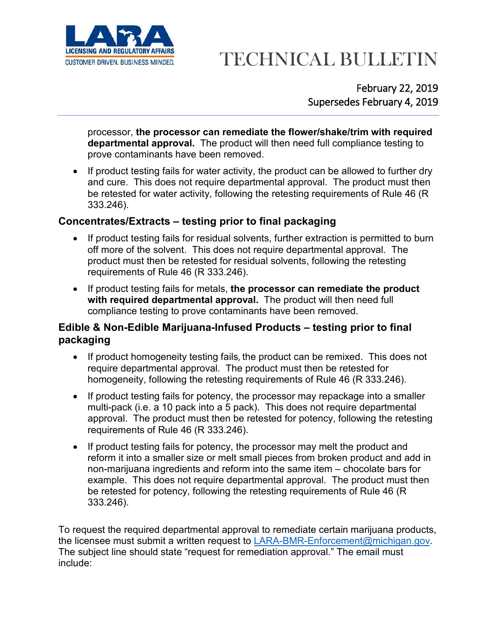

# CUSTOMER DRIVEN. BUSINESS MINDED. TECHNICAL BULLETIN

February 22, 2019 Supersedes February 4, 2019

processor, **the processor can remediate the flower/shake/trim with required departmental approval.** The product will then need full compliance testing to prove contaminants have been removed.

• If product testing fails for water activity, the product can be allowed to further dry and cure. This does not require departmental approval. The product must then be retested for water activity, following the retesting requirements of Rule 46 (R 333.246).

#### **Concentrates/Extracts – testing prior to final packaging**

- If product testing fails for residual solvents, further extraction is permitted to burn off more of the solvent. This does not require departmental approval. The product must then be retested for residual solvents, following the retesting requirements of Rule 46 (R 333.246).
- If product testing fails for metals, **the processor can remediate the product with required departmental approval.** The product will then need full compliance testing to prove contaminants have been removed.

#### **Edible & Non-Edible Marijuana-Infused Products – testing prior to final packaging**

- If product homogeneity testing fails, the product can be remixed. This does not require departmental approval. The product must then be retested for homogeneity, following the retesting requirements of Rule 46 (R 333.246).
- If product testing fails for potency, the processor may repackage into a smaller multi-pack (i.e. a 10 pack into a 5 pack). This does not require departmental approval. The product must then be retested for potency, following the retesting requirements of Rule 46 (R 333.246).
- If product testing fails for potency, the processor may melt the product and reform it into a smaller size or melt small pieces from broken product and add in non-marijuana ingredients and reform into the same item – chocolate bars for example. This does not require departmental approval. The product must then be retested for potency, following the retesting requirements of Rule 46 (R 333.246).

To request the required departmental approval to remediate certain marijuana products, the licensee must submit a written request to [LARA-BMR-Enforcement@michigan.gov.](mailto:LARA-BMR-Enforcement@michigan.gov) The subject line should state "request for remediation approval." The email must include: